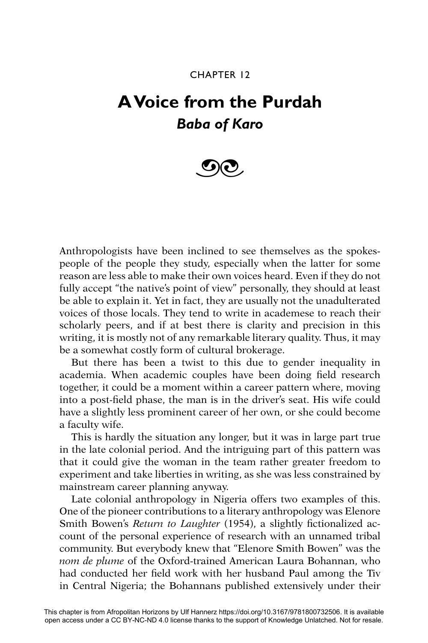## CHAPTER 12

## **A Voice from the Purdah** *Baba of Karo*



Anthropologists have been inclined to see themselves as the spokespeople of the people they study, especially when the latter for some reason are less able to make their own voices heard. Even if they do not fully accept "the native's point of view" personally, they should at least be able to explain it. Yet in fact, they are usually not the unadulterated voices of those locals. They tend to write in academese to reach their scholarly peers, and if at best there is clarity and precision in this writing, it is mostly not of any remarkable literary quality. Thus, it may be a somewhat costly form of cultural brokerage.

But there has been a twist to this due to gender inequality in academia. When academic couples have been doing field research together, it could be a moment within a career pattern where, moving into a post-field phase, the man is in the driver's seat. His wife could have a slightly less prominent career of her own, or she could become a faculty wife.

This is hardly the situation any longer, but it was in large part true in the late colonial period. And the intriguing part of this pattern was that it could give the woman in the team rather greater freedom to experiment and take liberties in writing, as she was less constrained by mainstream career planning anyway.

Late colonial anthropology in Nigeria offers two examples of this. One of the pioneer contributions to a literary anthropology was Elenore Smith Bowen's *Return to Laughter* (1954), a slightly fictionalized account of the personal experience of research with an unnamed tribal community. But everybody knew that "Elenore Smith Bowen" was the *nom de plume* of the Oxford-trained American Laura Bohannan, who had conducted her field work with her husband Paul among the Tiv in Central Nigeria; the Bohannans published extensively under their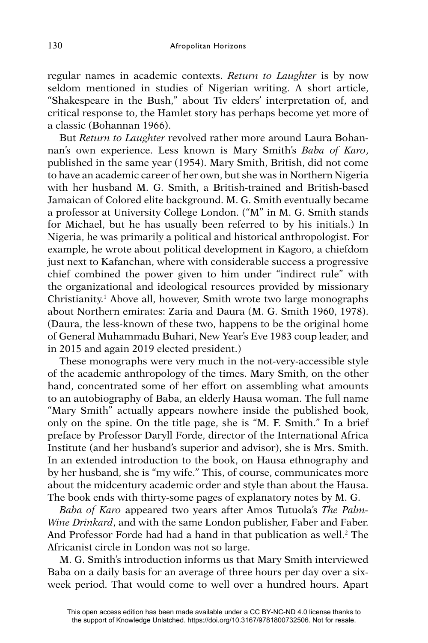regular names in academic contexts. *Return to Laughter* is by now seldom mentioned in studies of Nigerian writing. A short article, "Shakespeare in the Bush," about Tiv elders' interpretation of, and critical response to, the Hamlet story has perhaps become yet more of a classic (Bohannan 1966).

But *Return to Laughter* revolved rather more around Laura Bohannan's own experience. Less known is Mary Smith's *Baba of Karo*, published in the same year (1954). Mary Smith, British, did not come to have an academic career of her own, but she was in Northern Nigeria with her husband M. G. Smith, a British-trained and British-based Jamaican of Colored elite background. M. G. Smith eventually became a professor at University College London. ("M" in M. G. Smith stands for Michael, but he has usually been referred to by his initials.) In Nigeria, he was primarily a political and historical anthropologist. For example, he wrote about political development in Kagoro, a chiefdom just next to Kafanchan, where with considerable success a progressive chief combined the power given to him under "indirect rule" with the organizational and ideological resources provided by missionary Christianity.<sup>1</sup> Above all, however, Smith wrote two large monographs about Northern emirates: Zaria and Daura (M. G. Smith 1960, 1978). (Daura, the less-known of these two, happens to be the original home of General Muhammadu Buhari, New Year's Eve 1983 coup leader, and in 2015 and again 2019 elected president.)

These monographs were very much in the not-very-accessible style of the academic anthropology of the times. Mary Smith, on the other hand, concentrated some of her effort on assembling what amounts to an autobiography of Baba, an elderly Hausa woman. The full name "Mary Smith" actually appears nowhere inside the published book, only on the spine. On the title page, she is "M. F. Smith." In a brief preface by Professor Daryll Forde, director of the International Africa Institute (and her husband's superior and advisor), she is Mrs. Smith. In an extended introduction to the book, on Hausa ethnography and by her husband, she is "my wife." This, of course, communicates more about the midcentury academic order and style than about the Hausa. The book ends with thirty-some pages of explanatory notes by M. G.

*Baba of Karo* appeared two years after Amos Tutuola's *The Palm-Wine Drinkard*, and with the same London publisher, Faber and Faber. And Professor Forde had had a hand in that publication as well.<sup>2</sup> The Africanist circle in London was not so large.

M. G. Smith's introduction informs us that Mary Smith interviewed Baba on a daily basis for an average of three hours per day over a sixweek period. That would come to well over a hundred hours. Apart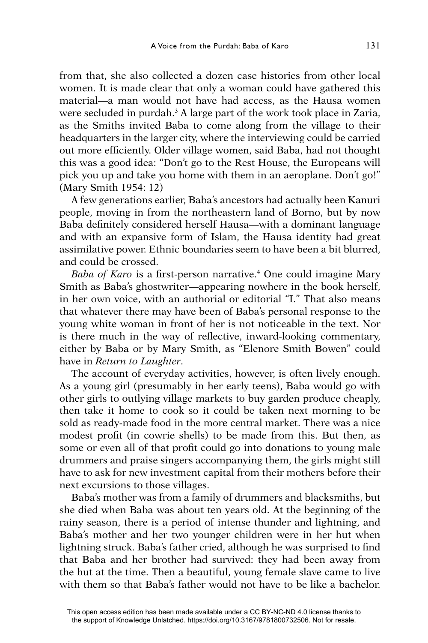from that, she also collected a dozen case histories from other local women. It is made clear that only a woman could have gathered this material—a man would not have had access, as the Hausa women were secluded in purdah.3 A large part of the work took place in Zaria, as the Smiths invited Baba to come along from the village to their headquarters in the larger city, where the interviewing could be carried out more efficiently. Older village women, said Baba, had not thought this was a good idea: "Don't go to the Rest House, the Europeans will pick you up and take you home with them in an aeroplane. Don't go!" (Mary Smith 1954: 12)

A few generations earlier, Baba's ancestors had actually been Kanuri people, moving in from the northeastern land of Borno, but by now Baba definitely considered herself Hausa—with a dominant language and with an expansive form of Islam, the Hausa identity had great assimilative power. Ethnic boundaries seem to have been a bit blurred, and could be crossed.

Baba of Karo is a first-person narrative.<sup>4</sup> One could imagine Mary Smith as Baba's ghostwriter—appearing nowhere in the book herself, in her own voice, with an authorial or editorial "I." That also means that whatever there may have been of Baba's personal response to the young white woman in front of her is not noticeable in the text. Nor is there much in the way of reflective, inward-looking commentary, either by Baba or by Mary Smith, as "Elenore Smith Bowen" could have in *Return to Laughter*.

The account of everyday activities, however, is often lively enough. As a young girl (presumably in her early teens), Baba would go with other girls to outlying village markets to buy garden produce cheaply, then take it home to cook so it could be taken next morning to be sold as ready-made food in the more central market. There was a nice modest profit (in cowrie shells) to be made from this. But then, as some or even all of that profit could go into donations to young male drummers and praise singers accompanying them, the girls might still have to ask for new investment capital from their mothers before their next excursions to those villages.

Baba's mother was from a family of drummers and blacksmiths, but she died when Baba was about ten years old. At the beginning of the rainy season, there is a period of intense thunder and lightning, and Baba's mother and her two younger children were in her hut when lightning struck. Baba's father cried, although he was surprised to find that Baba and her brother had survived: they had been away from the hut at the time. Then a beautiful, young female slave came to live with them so that Baba's father would not have to be like a bachelor.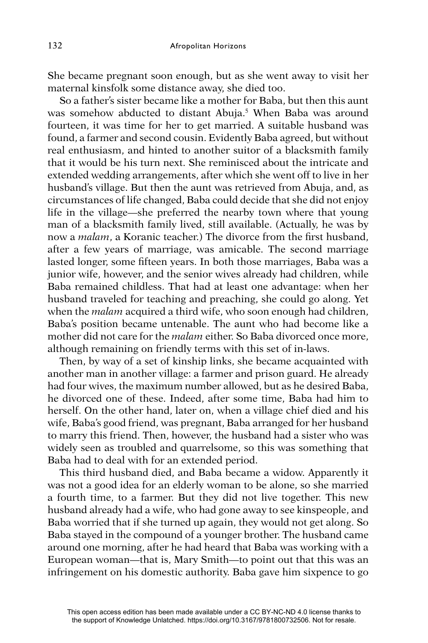She became pregnant soon enough, but as she went away to visit her maternal kinsfolk some distance away, she died too.

So a father's sister became like a mother for Baba, but then this aunt was somehow abducted to distant Abuja.<sup>5</sup> When Baba was around fourteen, it was time for her to get married. A suitable husband was found, a farmer and second cousin. Evidently Baba agreed, but without real enthusiasm, and hinted to another suitor of a blacksmith family that it would be his turn next. She reminisced about the intricate and extended wedding arrangements, after which she went off to live in her husband's village. But then the aunt was retrieved from Abuja, and, as circumstances of life changed, Baba could decide that she did not enjoy life in the village—she preferred the nearby town where that young man of a blacksmith family lived, still available. (Actually, he was by now a *malam*, a Koranic teacher.) The divorce from the first husband, after a few years of marriage, was amicable. The second marriage lasted longer, some fifteen years. In both those marriages, Baba was a junior wife, however, and the senior wives already had children, while Baba remained childless. That had at least one advantage: when her husband traveled for teaching and preaching, she could go along. Yet when the *malam* acquired a third wife, who soon enough had children, Baba's position became untenable. The aunt who had become like a mother did not care for the *malam* either. So Baba divorced once more, although remaining on friendly terms with this set of in-laws.

Then, by way of a set of kinship links, she became acquainted with another man in another village: a farmer and prison guard. He already had four wives, the maximum number allowed, but as he desired Baba, he divorced one of these. Indeed, after some time, Baba had him to herself. On the other hand, later on, when a village chief died and his wife, Baba's good friend, was pregnant, Baba arranged for her husband to marry this friend. Then, however, the husband had a sister who was widely seen as troubled and quarrelsome, so this was something that Baba had to deal with for an extended period.

This third husband died, and Baba became a widow. Apparently it was not a good idea for an elderly woman to be alone, so she married a fourth time, to a farmer. But they did not live together. This new husband already had a wife, who had gone away to see kinspeople, and Baba worried that if she turned up again, they would not get along. So Baba stayed in the compound of a younger brother. The husband came around one morning, after he had heard that Baba was working with a European woman—that is, Mary Smith—to point out that this was an infringement on his domestic authority. Baba gave him sixpence to go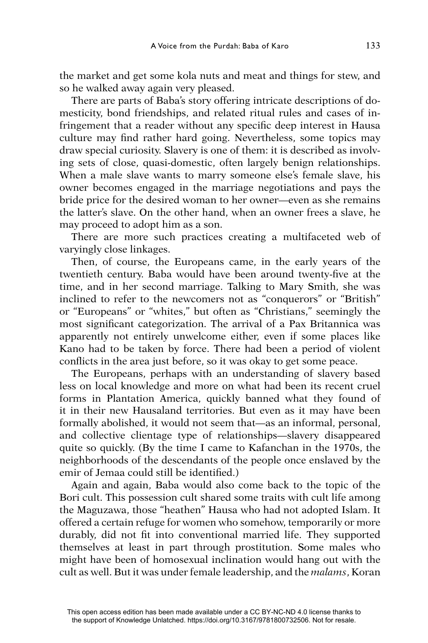the market and get some kola nuts and meat and things for stew, and so he walked away again very pleased.

There are parts of Baba's story offering intricate descriptions of domesticity, bond friendships, and related ritual rules and cases of infringement that a reader without any specific deep interest in Hausa culture may find rather hard going. Nevertheless, some topics may draw special curiosity. Slavery is one of them: it is described as involving sets of close, quasi-domestic, often largely benign relationships. When a male slave wants to marry someone else's female slave, his owner becomes engaged in the marriage negotiations and pays the bride price for the desired woman to her owner—even as she remains the latter's slave. On the other hand, when an owner frees a slave, he may proceed to adopt him as a son.

There are more such practices creating a multifaceted web of varyingly close linkages.

Then, of course, the Europeans came, in the early years of the twentieth century. Baba would have been around twenty-five at the time, and in her second marriage. Talking to Mary Smith, she was inclined to refer to the newcomers not as "conquerors" or "British" or "Europeans" or "whites," but often as "Christians," seemingly the most significant categorization. The arrival of a Pax Britannica was apparently not entirely unwelcome either, even if some places like Kano had to be taken by force. There had been a period of violent conflicts in the area just before, so it was okay to get some peace.

The Europeans, perhaps with an understanding of slavery based less on local knowledge and more on what had been its recent cruel forms in Plantation America, quickly banned what they found of it in their new Hausaland territories. But even as it may have been formally abolished, it would not seem that—as an informal, personal, and collective clientage type of relationships—slavery disappeared quite so quickly. (By the time I came to Kafanchan in the 1970s, the neighborhoods of the descendants of the people once enslaved by the emir of Jemaa could still be identified.)

Again and again, Baba would also come back to the topic of the Bori cult. This possession cult shared some traits with cult life among the Maguzawa, those "heathen" Hausa who had not adopted Islam. It offered a certain refuge for women who somehow, temporarily or more durably, did not fit into conventional married life. They supported themselves at least in part through prostitution. Some males who might have been of homosexual inclination would hang out with the cult as well. But it was under female leadership, and the *malams*, Koran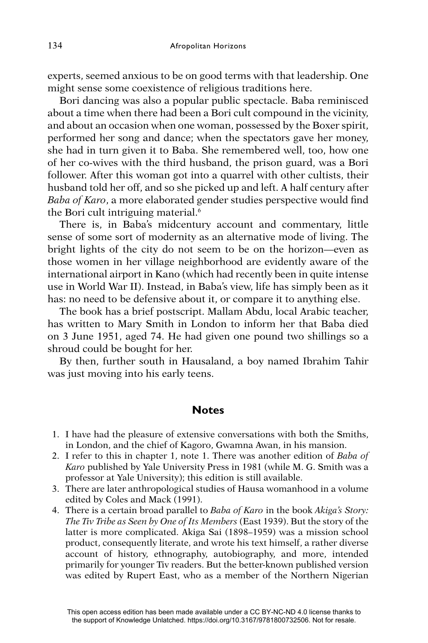experts, seemed anxious to be on good terms with that leadership. One might sense some coexistence of religious traditions here.

Bori dancing was also a popular public spectacle. Baba reminisced about a time when there had been a Bori cult compound in the vicinity, and about an occasion when one woman, possessed by the Boxer spirit, performed her song and dance; when the spectators gave her money, she had in turn given it to Baba. She remembered well, too, how one of her co-wives with the third husband, the prison guard, was a Bori follower. After this woman got into a quarrel with other cultists, their husband told her off, and so she picked up and left. A half century after Baba of Karo, a more elaborated gender studies perspective would find the Bori cult intriguing material.<sup>6</sup>

There is, in Baba's midcentury account and commentary, little sense of some sort of modernity as an alternative mode of living. The bright lights of the city do not seem to be on the horizon—even as those women in her village neighborhood are evidently aware of the international airport in Kano (which had recently been in quite intense use in World War II). Instead, in Baba's view, life has simply been as it has: no need to be defensive about it, or compare it to anything else.

The book has a brief postscript. Mallam Abdu, local Arabic teacher, has written to Mary Smith in London to inform her that Baba died on 3 June 1951, aged 74. He had given one pound two shillings so a shroud could be bought for her.

By then, further south in Hausaland, a boy named Ibrahim Tahir was just moving into his early teens.

## **Notes**

- 1. I have had the pleasure of extensive conversations with both the Smiths, in London, and the chief of Kagoro, Gwamna Awan, in his mansion.
- 2. I refer to this in chapter 1, note 1. There was another edition of *Baba of Karo* published by Yale University Press in 1981 (while M. G. Smith was a professor at Yale University); this edition is still available.
- 3. There are later anthropological studies of Hausa womanhood in a volume edited by Coles and Mack (1991).
- 4. There is a certain broad parallel to *Baba of Karo* in the book *Akiga's Story: The Tiv Tribe as Seen by One of Its Members* (East 1939). But the story of the latter is more complicated. Akiga Sai (1898–1959) was a mission school product, consequently literate, and wrote his text himself, a rather diverse account of history, ethnography, autobiography, and more, intended primarily for younger Tiv readers. But the better-known published version was edited by Rupert East, who as a member of the Northern Nigerian